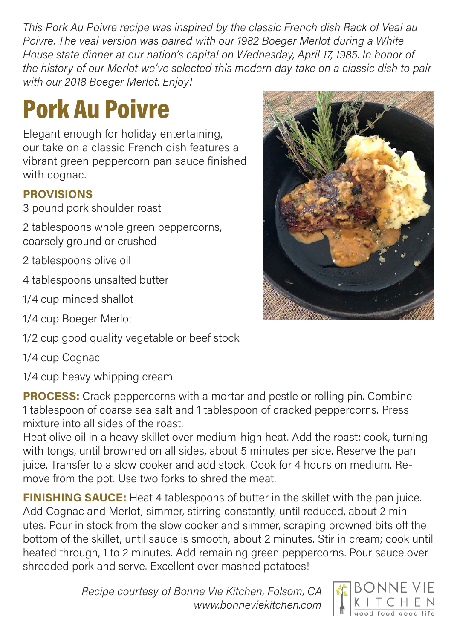This Pork Au Poivre recipe was inspired by the classic French dish Rack of Veal au Poivre. The veal version was paired with our 1982 Boeger Merlot during a White House state dinner at our nation's capital on Wednesday, April 17, 1985. In honor of the history of our Merlot we've selected this modern day take on a classic dish to pair with our 2018 Boeger Merlot. Enjoy!

## **Pork Au Poivre**

 Elegant enough for holiday entertaining, our take on a classic French dish features a vibrant green peppercorn pan sauce finished with cognac.

## PROVISIONS

3 pound pork shoulder roast

 2 tablespoons whole green peppercorns, coarsely ground or crushed

2 tablespoons olive oil

4 tablespoons unsalted butter

1/4 cup minced shallot

1/4 cup Boeger Merlot

1/2 cup good quality vegetable or beef stock

1/4 cup Cognac

1/4 cup heavy whipping cream

**PROCESS:** Crack peppercorns with a mortar and pestle or rolling pin. Combine 1 tablespoon of coarse sea salt and 1 tablespoon of cracked peppercorns. Press mixture into all sides of the roast.

 Heat olive oil in a heavy skillet over medium-high heat. Add the roast; cook, turning with tongs, until browned on all sides, about 5 minutes per side. Reserve the pan juice. Transfer to a slow cooker and add stock. Cook for 4 hours on medium. Re-move from the pot. Use two forks to shred the meat.

**FINISHING SAUCE:** Heat 4 tablespoons of butter in the skillet with the pan juice. Add Cognac and Merlot; simmer, stirring constantly, until reduced, about 2 minutes. Pour in stock from the slow cooker and simmer, scraping browned bits off the bottom of the skillet, until sauce is smooth, about 2 minutes. Stir in cream; cook until heated through, 1 to 2 minutes. Add remaining green peppercorns. Pour sauce over shredded pork and serve. Excellent over mashed potatoes!

> Recipe courtesy of Bonne Vie Kitchen, Folsom, CA <www.bonneviekitchen.com>